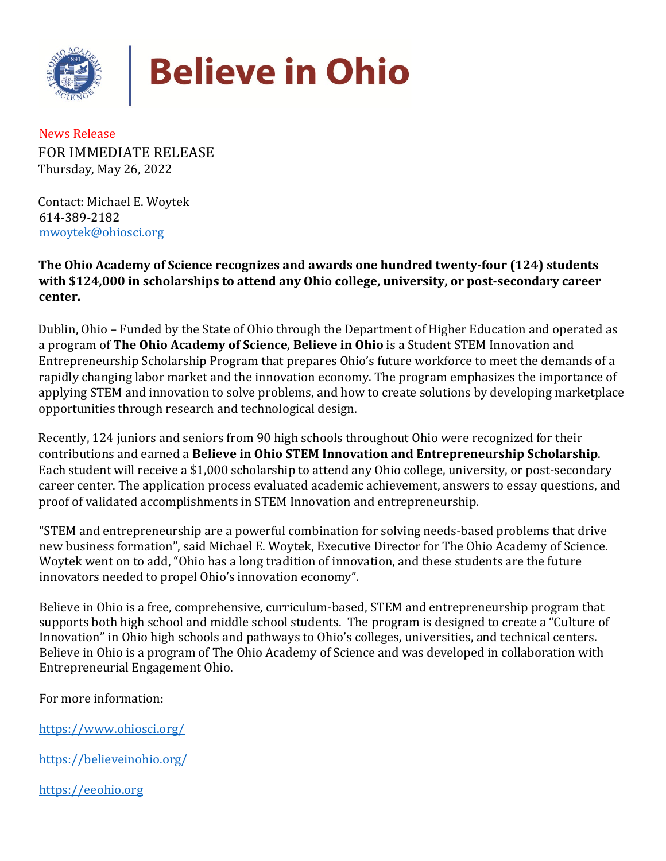

## **Believe in Ohio**

News Release FOR IMMEDIATE RELEASE Thursday, May 26, 2022

Contact: Michael E. Woytek 614-389-2182 mwoytek@ohiosci.org

**The Ohio Academy of Science recognizes and awards one hundred twenty-four (124) students with \$124,000 in scholarships to attend any Ohio college, university, or post-secondary career center.** 

Dublin, Ohio – Funded by the State of Ohio through the Department of Higher Education and operated as a program of **The Ohio Academy of Science**, **Believe in Ohio** is a Student STEM Innovation and Entrepreneurship Scholarship Program that prepares Ohio's future workforce to meet the demands of a rapidly changing labor market and the innovation economy. The program emphasizes the importance of applying STEM and innovation to solve problems, and how to create solutions by developing marketplace opportunities through research and technological design.

Recently, 124 juniors and seniors from 90 high schools throughout Ohio were recognized for their contributions and earned a **Believe in Ohio STEM Innovation and Entrepreneurship Scholarship**. Each student will receive a \$1,000 scholarship to attend any Ohio college, university, or post-secondary career center. The application process evaluated academic achievement, answers to essay questions, and proof of validated accomplishments in STEM Innovation and entrepreneurship.

"STEM and entrepreneurship are a powerful combination for solving needs-based problems that drive new business formation", said Michael E. Woytek, Executive Director for The Ohio Academy of Science. Woytek went on to add, "Ohio has a long tradition of innovation, and these students are the future innovators needed to propel Ohio's innovation economy".

Believe in Ohio is a free, comprehensive, curriculum-based, STEM and entrepreneurship program that supports both high school and middle school students. The program is designed to create a "Culture of Innovation" in Ohio high schools and pathways to Ohio's colleges, universities, and technical centers. Believe in Ohio is a program of The Ohio Academy of Science and was developed in collaboration with Entrepreneurial Engagement Ohio.

For more information:

<https://www.ohiosci.org/>

<https://believeinohio.org/>

[https://eeohio.org](https://eeohio.org/)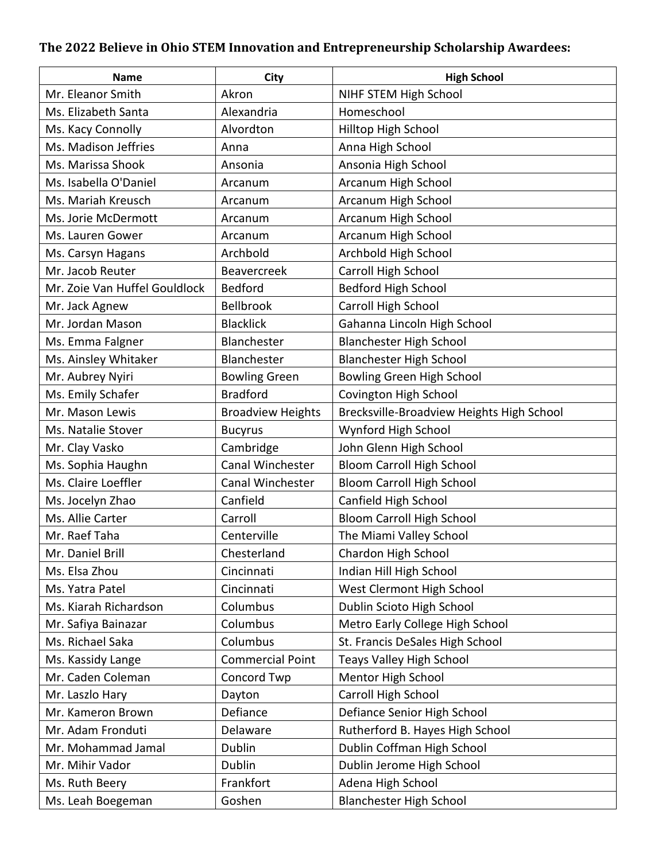## **The 2022 Believe in Ohio STEM Innovation and Entrepreneurship Scholarship Awardees:**

| <b>Name</b>                   | <b>City</b>              | <b>High School</b>                        |
|-------------------------------|--------------------------|-------------------------------------------|
| Mr. Eleanor Smith             | Akron                    | NIHF STEM High School                     |
| Ms. Elizabeth Santa           | Alexandria               | Homeschool                                |
| Ms. Kacy Connolly             | Alvordton                | Hilltop High School                       |
| Ms. Madison Jeffries          | Anna                     | Anna High School                          |
| Ms. Marissa Shook             | Ansonia                  | Ansonia High School                       |
| Ms. Isabella O'Daniel         | Arcanum                  | Arcanum High School                       |
| Ms. Mariah Kreusch            | Arcanum                  | Arcanum High School                       |
| Ms. Jorie McDermott           | Arcanum                  | Arcanum High School                       |
| Ms. Lauren Gower              | Arcanum                  | Arcanum High School                       |
| Ms. Carsyn Hagans             | Archbold                 | Archbold High School                      |
| Mr. Jacob Reuter              | Beavercreek              | Carroll High School                       |
| Mr. Zoie Van Huffel Gouldlock | <b>Bedford</b>           | Bedford High School                       |
| Mr. Jack Agnew                | Bellbrook                | Carroll High School                       |
| Mr. Jordan Mason              | <b>Blacklick</b>         | Gahanna Lincoln High School               |
| Ms. Emma Falgner              | Blanchester              | <b>Blanchester High School</b>            |
| Ms. Ainsley Whitaker          | Blanchester              | <b>Blanchester High School</b>            |
| Mr. Aubrey Nyiri              | <b>Bowling Green</b>     | <b>Bowling Green High School</b>          |
| Ms. Emily Schafer             | <b>Bradford</b>          | Covington High School                     |
| Mr. Mason Lewis               | <b>Broadview Heights</b> | Brecksville-Broadview Heights High School |
| Ms. Natalie Stover            | <b>Bucyrus</b>           | Wynford High School                       |
| Mr. Clay Vasko                | Cambridge                | John Glenn High School                    |
| Ms. Sophia Haughn             | Canal Winchester         | <b>Bloom Carroll High School</b>          |
| Ms. Claire Loeffler           | Canal Winchester         | <b>Bloom Carroll High School</b>          |
| Ms. Jocelyn Zhao              | Canfield                 | Canfield High School                      |
| Ms. Allie Carter              | Carroll                  | <b>Bloom Carroll High School</b>          |
| Mr. Raef Taha                 | Centerville              | The Miami Valley School                   |
| Mr. Daniel Brill              | Chesterland              | Chardon High School                       |
| Ms. Elsa Zhou                 | Cincinnati               | Indian Hill High School                   |
| Ms. Yatra Patel               | Cincinnati               | West Clermont High School                 |
| Ms. Kiarah Richardson         | Columbus                 | Dublin Scioto High School                 |
| Mr. Safiya Bainazar           | Columbus                 | Metro Early College High School           |
| Ms. Richael Saka              | Columbus                 | St. Francis DeSales High School           |
| Ms. Kassidy Lange             | <b>Commercial Point</b>  | <b>Teays Valley High School</b>           |
| Mr. Caden Coleman             | Concord Twp              | Mentor High School                        |
| Mr. Laszlo Hary               | Dayton                   | Carroll High School                       |
| Mr. Kameron Brown             | Defiance                 | Defiance Senior High School               |
| Mr. Adam Fronduti             | Delaware                 | Rutherford B. Hayes High School           |
| Mr. Mohammad Jamal            | Dublin                   | Dublin Coffman High School                |
| Mr. Mihir Vador               | Dublin                   | Dublin Jerome High School                 |
| Ms. Ruth Beery                | Frankfort                | Adena High School                         |
| Ms. Leah Boegeman             | Goshen                   | <b>Blanchester High School</b>            |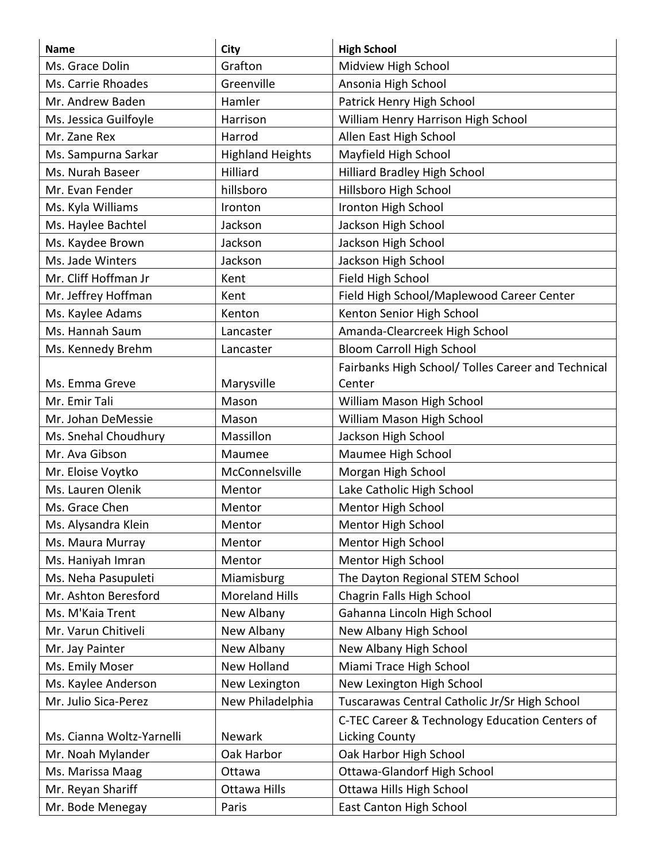| <b>Name</b>               | <b>City</b>             | <b>High School</b>                                 |
|---------------------------|-------------------------|----------------------------------------------------|
| Ms. Grace Dolin           | Grafton                 | Midview High School                                |
| Ms. Carrie Rhoades        | Greenville              | Ansonia High School                                |
| Mr. Andrew Baden          | Hamler                  | Patrick Henry High School                          |
| Ms. Jessica Guilfoyle     | Harrison                | William Henry Harrison High School                 |
| Mr. Zane Rex              | Harrod                  | Allen East High School                             |
| Ms. Sampurna Sarkar       | <b>Highland Heights</b> | Mayfield High School                               |
| Ms. Nurah Baseer          | Hilliard                | Hilliard Bradley High School                       |
| Mr. Evan Fender           | hillsboro               | Hillsboro High School                              |
| Ms. Kyla Williams         | Ironton                 | Ironton High School                                |
| Ms. Haylee Bachtel        | Jackson                 | Jackson High School                                |
| Ms. Kaydee Brown          | Jackson                 | Jackson High School                                |
| Ms. Jade Winters          | Jackson                 | Jackson High School                                |
| Mr. Cliff Hoffman Jr      | Kent                    | Field High School                                  |
| Mr. Jeffrey Hoffman       | Kent                    | Field High School/Maplewood Career Center          |
| Ms. Kaylee Adams          | Kenton                  | Kenton Senior High School                          |
| Ms. Hannah Saum           | Lancaster               | Amanda-Clearcreek High School                      |
| Ms. Kennedy Brehm         | Lancaster               | <b>Bloom Carroll High School</b>                   |
|                           |                         | Fairbanks High School/ Tolles Career and Technical |
| Ms. Emma Greve            | Marysville              | Center                                             |
| Mr. Emir Tali             | Mason                   | William Mason High School                          |
| Mr. Johan DeMessie        | Mason                   | William Mason High School                          |
| Ms. Snehal Choudhury      | Massillon               | Jackson High School                                |
| Mr. Ava Gibson            | Maumee                  | Maumee High School                                 |
| Mr. Eloise Voytko         | McConnelsville          | Morgan High School                                 |
| Ms. Lauren Olenik         | Mentor                  | Lake Catholic High School                          |
| Ms. Grace Chen            | Mentor                  | Mentor High School                                 |
| Ms. Alysandra Klein       | Mentor                  | Mentor High School                                 |
| Ms. Maura Murray          | Mentor                  | Mentor High School                                 |
| Ms. Haniyah Imran         | Mentor                  | Mentor High School                                 |
| Ms. Neha Pasupuleti       | Miamisburg              | The Dayton Regional STEM School                    |
| Mr. Ashton Beresford      | <b>Moreland Hills</b>   | Chagrin Falls High School                          |
| Ms. M'Kaia Trent          | New Albany              | Gahanna Lincoln High School                        |
| Mr. Varun Chitiveli       | New Albany              | New Albany High School                             |
| Mr. Jay Painter           | New Albany              | New Albany High School                             |
| Ms. Emily Moser           | New Holland             | Miami Trace High School                            |
| Ms. Kaylee Anderson       | New Lexington           | New Lexington High School                          |
| Mr. Julio Sica-Perez      | New Philadelphia        | Tuscarawas Central Catholic Jr/Sr High School      |
|                           |                         | C-TEC Career & Technology Education Centers of     |
| Ms. Cianna Woltz-Yarnelli | Newark                  | <b>Licking County</b>                              |
| Mr. Noah Mylander         | Oak Harbor              | Oak Harbor High School                             |
| Ms. Marissa Maag          | Ottawa                  | <b>Ottawa-Glandorf High School</b>                 |
| Mr. Reyan Shariff         | Ottawa Hills            | Ottawa Hills High School                           |
| Mr. Bode Menegay          | Paris                   | East Canton High School                            |